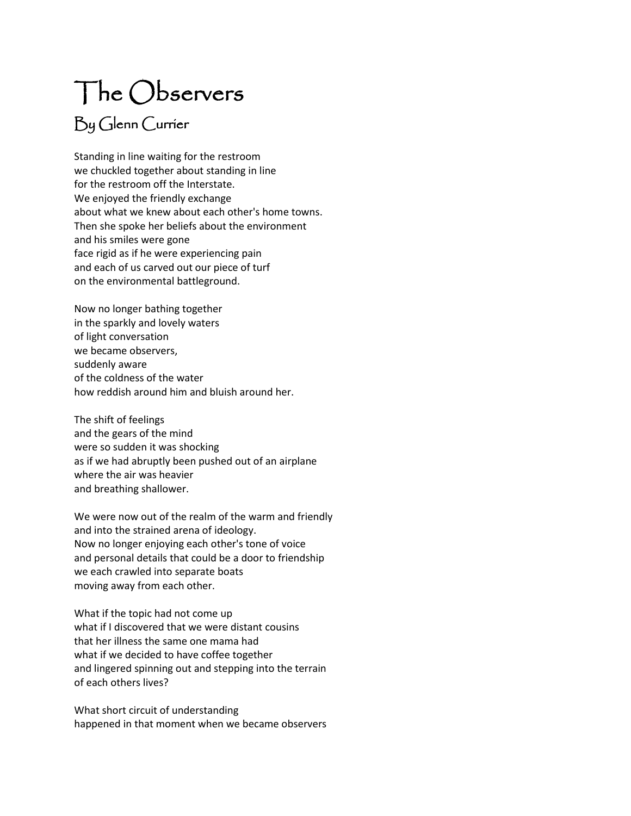## The Observers By Glenn Currier

Standing in line waiting for the restroom we chuckled together about standing in line for the restroom off the Interstate. We enjoyed the friendly exchange about what we knew about each other's home towns. Then she spoke her beliefs about the environment and his smiles were gone face rigid as if he were experiencing pain and each of us carved out our piece of turf on the environmental battleground.

Now no longer bathing together in the sparkly and lovely waters of light conversation we became observers, suddenly aware of the coldness of the water how reddish around him and bluish around her.

The shift of feelings and the gears of the mind were so sudden it was shocking as if we had abruptly been pushed out of an airplane where the air was heavier and breathing shallower.

We were now out of the realm of the warm and friendly and into the strained arena of ideology. Now no longer enjoying each other's tone of voice and personal details that could be a door to friendship we each crawled into separate boats moving away from each other.

What if the topic had not come up what if I discovered that we were distant cousins that her illness the same one mama had what if we decided to have coffee together and lingered spinning out and stepping into the terrain of each others lives?

What short circuit of understanding happened in that moment when we became observers